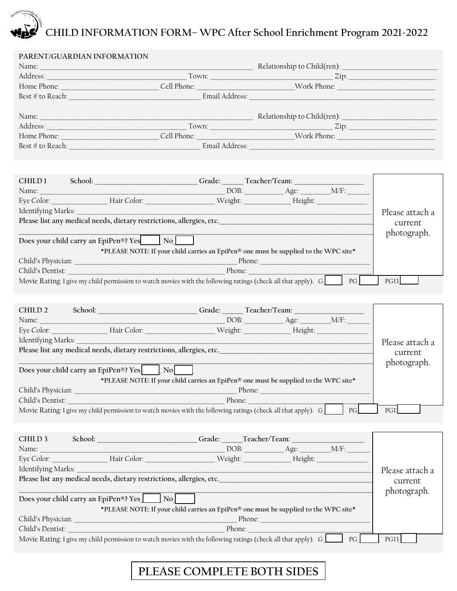# **CHILD INFORMATION FORM– WPC After School Enrichment Program 2021-2022**

| PARENT/GUARDIAN INFORMATION                                                                                                                                                                                                    |                |                                                                                                                                                                                                                                                                                                                                                                                                         |
|--------------------------------------------------------------------------------------------------------------------------------------------------------------------------------------------------------------------------------|----------------|---------------------------------------------------------------------------------------------------------------------------------------------------------------------------------------------------------------------------------------------------------------------------------------------------------------------------------------------------------------------------------------------------------|
| Name: Name and the second contract of the second contract of the second contract of the second contract of the second contract of the second contract of the second contract of the second contract of the second contract of  |                | Relationship to Child(ren):                                                                                                                                                                                                                                                                                                                                                                             |
| Address: Andreas Address and Address and Address and Address and Address and Address and Address and Address and Address and Address and Address and Address and Address and Address and Address and Address and Address and A |                | $\mathsf{Zip:}\n \begin{picture}(15,17) \put(0,0){\dashbox{0.5}(10,0){10}} \put(15,0){\circle{10}} \put(15,0){\circle{10}} \put(15,0){\circle{10}} \put(15,0){\circle{10}} \put(15,0){\circle{10}} \put(15,0){\circle{10}} \put(15,0){\circle{10}} \put(15,0){\circle{10}} \put(15,0){\circle{10}} \put(15,0){\circle{10}} \put(15,0){\circle{10}} \put(15,0){\circle{10}} \put(15,0){\circle$<br>Town: |
| Home Phone: The Contract of the Contract of the Contract of the Contract of the Contract of the Contract of the Contract of the Contract of the Contract of the Contract of the Contract of the Contract of the Contract of th | Cell Phone:    | Work Phone:                                                                                                                                                                                                                                                                                                                                                                                             |
| $\text{Best} \# \text{ to } \text{Reach:}$                                                                                                                                                                                     | Email Address: |                                                                                                                                                                                                                                                                                                                                                                                                         |
|                                                                                                                                                                                                                                |                |                                                                                                                                                                                                                                                                                                                                                                                                         |
|                                                                                                                                                                                                                                |                | Relationship to Child(ren): ___________                                                                                                                                                                                                                                                                                                                                                                 |
| Address:                                                                                                                                                                                                                       |                | $\mathsf{Zip:}$                                                                                                                                                                                                                                                                                                                                                                                         |
| Home Phone:                                                                                                                                                                                                                    | Cell Phone:    | Work Phone: The Month of the Second Second Second Second Second Second Second Second Second Second Second Second Second Second Second Second Second Second Second Second Second Second Second Second Second Second Second Seco                                                                                                                                                                          |
| Best $\#$ to Reach:                                                                                                                                                                                                            | Email Address: |                                                                                                                                                                                                                                                                                                                                                                                                         |
|                                                                                                                                                                                                                                |                |                                                                                                                                                                                                                                                                                                                                                                                                         |

| CHILD 1            |                                                                                                                       | Grade: ______ Teacher/Team: ____                                                                               |                                                                                                                |    |                 |
|--------------------|-----------------------------------------------------------------------------------------------------------------------|----------------------------------------------------------------------------------------------------------------|----------------------------------------------------------------------------------------------------------------|----|-----------------|
| Name:              |                                                                                                                       |                                                                                                                | $DOB:$ $Age:$ $M/F:$                                                                                           |    |                 |
|                    |                                                                                                                       |                                                                                                                |                                                                                                                |    |                 |
| Identifying Marks: |                                                                                                                       |                                                                                                                |                                                                                                                |    | Please attach a |
|                    |                                                                                                                       |                                                                                                                |                                                                                                                |    | current         |
|                    |                                                                                                                       |                                                                                                                |                                                                                                                |    | photograph.     |
|                    | Does your child carry an EpiPen®? Yes No                                                                              |                                                                                                                |                                                                                                                |    |                 |
|                    |                                                                                                                       | *PLEASE NOTE: If your child carries an EpiPen® one must be supplied to the WPC site*                           |                                                                                                                |    |                 |
|                    |                                                                                                                       |                                                                                                                |                                                                                                                |    |                 |
|                    |                                                                                                                       | Child's Dentist: The Child's Dentist: The Child's Dentist: The Child's Dentist: The Child's Dentist: The Child |                                                                                                                |    |                 |
|                    |                                                                                                                       | Movie Rating: I give my child permission to watch movies with the following ratings (check all that apply). G_ |                                                                                                                | PG | <b>PG13</b>     |
|                    |                                                                                                                       |                                                                                                                |                                                                                                                |    |                 |
|                    |                                                                                                                       |                                                                                                                |                                                                                                                |    |                 |
|                    |                                                                                                                       | CHILD 2 School: _______________________Grade: ______Teacher/Team: _______________                              |                                                                                                                |    |                 |
|                    |                                                                                                                       |                                                                                                                |                                                                                                                |    |                 |
|                    |                                                                                                                       |                                                                                                                |                                                                                                                |    |                 |
|                    |                                                                                                                       |                                                                                                                |                                                                                                                |    | Please attach a |
|                    |                                                                                                                       |                                                                                                                |                                                                                                                |    | current         |
|                    | Does your child carry an EpiPen <sup>®</sup> ? Yes [ No]                                                              |                                                                                                                |                                                                                                                |    | photograph.     |
|                    |                                                                                                                       | *PLEASE NOTE: If your child carries an EpiPen® one must be supplied to the WPC site*                           |                                                                                                                |    |                 |
|                    |                                                                                                                       |                                                                                                                |                                                                                                                |    |                 |
| Child's Dentist:   |                                                                                                                       | Phone:                                                                                                         |                                                                                                                |    |                 |
|                    |                                                                                                                       | Movie Rating: I give my child permission to watch movies with the following ratings (check all that apply). G  |                                                                                                                | PG | PG1             |
|                    |                                                                                                                       |                                                                                                                |                                                                                                                |    |                 |
|                    |                                                                                                                       |                                                                                                                |                                                                                                                |    |                 |
| CHILD 3            | School: New York Changes and School:                                                                                  | Grade: ______Teacher/Team: ___________                                                                         |                                                                                                                |    |                 |
| Name:              |                                                                                                                       |                                                                                                                | $\sim$ DOB: $\_\_\_\_\_\_\_\_\_\_\_\_\_\_\_\_\_\_\_\_\_\_\_\_\_\_\_\_\_\_\_\_\_$                               |    |                 |
|                    |                                                                                                                       | Eye Color: Hair Color: Neight: Height: Height:                                                                 |                                                                                                                |    |                 |
| Identifying Marks: |                                                                                                                       |                                                                                                                |                                                                                                                |    | Please attach a |
|                    |                                                                                                                       | Please list any medical needs, dietary restrictions, allergies, etc.                                           |                                                                                                                |    | current         |
|                    |                                                                                                                       |                                                                                                                |                                                                                                                |    | photograph.     |
|                    | Does your child carry an EpiPen®? Yes No                                                                              |                                                                                                                |                                                                                                                |    |                 |
|                    |                                                                                                                       | *PLEASE NOTE: If your child carries an EpiPen® one must be supplied to the WPC site*                           |                                                                                                                |    |                 |
| Child's Physician: | <u> 1989 - Johann Barn, mars ann an t-Amhain an t-Amhain an t-Amhain an t-Amhain an t-Amhain an t-Amhain an t-Amh</u> |                                                                                                                | Phone: and the contract of the contract of the contract of the contract of the contract of the contract of the |    |                 |
| Child's Dentist:   |                                                                                                                       | Phone:                                                                                                         |                                                                                                                |    |                 |

Movie Rating: I give my child permission to watch movies with the following ratings (check all that apply). G\_\_\_\_\_\_ PG\_\_\_\_\_\_ PG13\_\_\_\_\_

## **PLEASE COMPLETE BOTH SIDES**